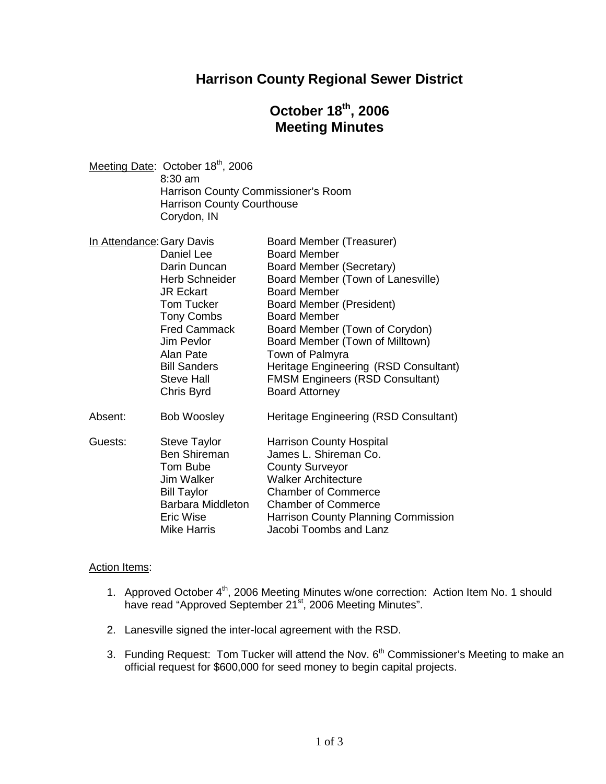## **Harrison County Regional Sewer District**

# **October 18th , 2006 Meeting Minutes**

| Meeting Date: October 18 <sup>th</sup> , 2006 |
|-----------------------------------------------|
| $8:30$ am                                     |
| Harrison County Commissioner's Room           |
| <b>Harrison County Courthouse</b>             |
| Corydon, IN                                   |
|                                               |

| In Attendance: Gary Davis | Board Member (Treasurer)               |
|---------------------------|----------------------------------------|
| Daniel Lee                | <b>Board Member</b>                    |
| Darin Duncan              | Board Member (Secretary)               |
| Herb Schneider            | Board Member (Town of Lanesville)      |
| <b>JR Eckart</b>          | <b>Board Member</b>                    |
| Tom Tucker                | Board Member (President)               |
| Tony Combs                | <b>Board Member</b>                    |
| <b>Fred Cammack</b>       | Board Member (Town of Corydon)         |
| Jim Pevlor                | Board Member (Town of Milltown)        |
| Alan Pate                 | Town of Palmyra                        |
| <b>Bill Sanders</b>       | Heritage Engineering (RSD Consultant)  |
| Steve Hall                | <b>FMSM Engineers (RSD Consultant)</b> |
| Chris Byrd                | <b>Board Attorney</b>                  |
| <b>Bob Woosley</b>        | Heritage Engineering (RSD Consultant)  |
| Steve Taylor              | <b>Harrison County Hospital</b>        |
| <b>Ben Shireman</b>       | James L. Shireman Co.                  |
| Tom Bube                  | <b>County Surveyor</b>                 |
| Jim Walker                | <b>Walker Architecture</b>             |
| <b>Bill Taylor</b>        | <b>Chamber of Commerce</b>             |
| Barbara Middleton         | <b>Chamber of Commerce</b>             |
| Eric Wise                 | Harrison County Planning Commission    |
| <b>Mike Harris</b>        | Jacobi Toombs and Lanz                 |
|                           |                                        |

#### **Action Items:**

- 1. Approved October 4<sup>th</sup>, 2006 Meeting Minutes w/one correction: Action Item No. 1 should have read "Approved September 21<sup>st</sup>, 2006 Meeting Minutes".
- 2. Lanesville signed the inter-local agreement with the RSD.
- 3. Funding Request: Tom Tucker will attend the Nov.  $6<sup>th</sup>$  Commissioner's Meeting to make an official request for \$600,000 for seed money to begin capital projects.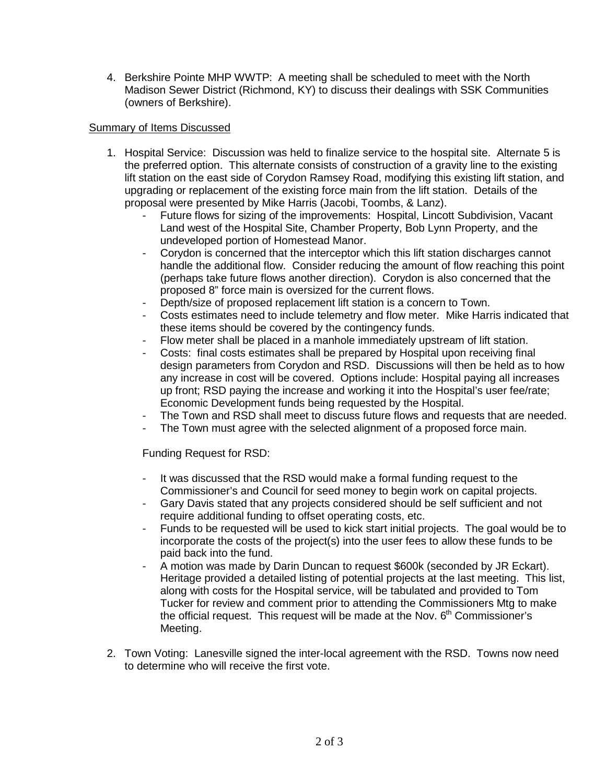4. Berkshire Pointe MHP WWTP: A meeting shall be scheduled to meet with the North Madison Sewer District (Richmond, KY) to discuss their dealings with SSK Communities (owners of Berkshire).

### Summary of Items Discussed

- 1. Hospital Service: Discussion was held to finalize service to the hospital site. Alternate 5 is the preferred option. This alternate consists of construction of a gravity line to the existing lift station on the east side of Corydon Ramsey Road, modifying this existing lift station, and upgrading or replacement of the existing force main from the lift station. Details of the proposal were presented by Mike Harris (Jacobi, Toombs, & Lanz).
	- Future flows for sizing of the improvements: Hospital, Lincott Subdivision, Vacant Land west of the Hospital Site, Chamber Property, Bob Lynn Property, and the undeveloped portion of Homestead Manor.
	- Corydon is concerned that the interceptor which this lift station discharges cannot handle the additional flow. Consider reducing the amount of flow reaching this point (perhaps take future flows another direction). Corydon is also concerned that the proposed 8" force main is oversized for the current flows.
	- Depth/size of proposed replacement lift station is a concern to Town.
	- Costs estimates need to include telemetry and flow meter. Mike Harris indicated that these items should be covered by the contingency funds.
	- Flow meter shall be placed in a manhole immediately upstream of lift station.
	- Costs: final costs estimates shall be prepared by Hospital upon receiving final design parameters from Corydon and RSD. Discussions will then be held as to how any increase in cost will be covered. Options include: Hospital paying all increases up front; RSD paying the increase and working it into the Hospital's user fee/rate; Economic Development funds being requested by the Hospital.
	- The Town and RSD shall meet to discuss future flows and requests that are needed.
	- The Town must agree with the selected alignment of a proposed force main.

Funding Request for RSD:

- It was discussed that the RSD would make a formal funding request to the Commissioner's and Council for seed money to begin work on capital projects.
- Gary Davis stated that any projects considered should be self sufficient and not require additional funding to offset operating costs, etc.
- Funds to be requested will be used to kick start initial projects. The goal would be to incorporate the costs of the project(s) into the user fees to allow these funds to be paid back into the fund.
- A motion was made by Darin Duncan to request \$600k (seconded by JR Eckart). Heritage provided a detailed listing of potential projects at the last meeting. This list, along with costs for the Hospital service, will be tabulated and provided to Tom Tucker for review and comment prior to attending the Commissioners Mtg to make the official request. This request will be made at the Nov.  $6<sup>th</sup>$  Commissioner's Meeting.
- 2. Town Voting: Lanesville signed the inter-local agreement with the RSD. Towns now need to determine who will receive the first vote.